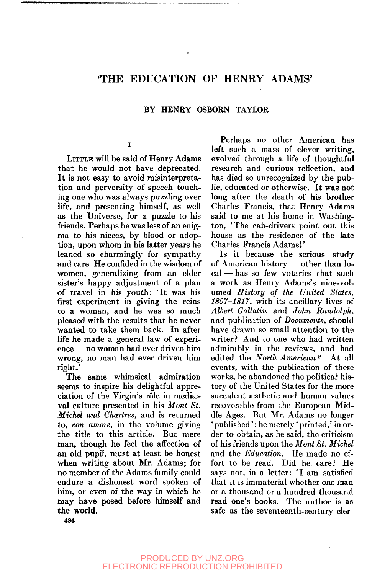## 'THE EDUCATION OF HENRY ADAMS'

#### BY HENRY OSBORN TAYLOR

#### $\mathbf I$

LITTLE will be said of Henry Adams that he would not have deprecated. It is not easy to avoid misinterpretation and perversity of speech touching one who was always puzzling over life, and presenting himself, as well as the Universe, for a puzzle to his friends. Perhaps he was less of an enigma to his nieces, by blood or adoption, upon whom in his latter years he leaned so charmingly for sympathy and care. He confided in the wisdom of women, generalizing from an elder sister's happy adjustment of a plan of travel in his youth: 'It was his first experiment in giving the reins to a woman, and he was so much pleased with the results that he never wanted to take them back. In after life he made a general law of experience — no woman had ever driven him wrong, no man had ever driven him right.'

The same whimsical admiration seems to inspire his delightful appreciation of the Virgin's rôle in mediæval culture presented in his *Mont St. Michel and Chartres,* and is returned to, *con amore,* in the volume giving the title to this article. But mere man, though he feel the affection of an old pupil, must at least be honest when writing about Mr. Adams; for no member of the Adams family could endure a dishonest word spoken of him, or even of the way in which he may have posed before himself and the world.

Perhaps no other American has left such a mass of clever writing, evolved through a life of thoughtful research and curious reflection, and has died so unrecognized by the public, educated or otherwise. It was not long after the death of his brother Charles Francis, that Henry Adams said to me at his home in Washington, 'The cab-drivers point out this house as the residence of the late Charles Francis Adams!'

Is it because the serious study of American history — other than local — has so few votaries that such a work as Henry Adams's nine-volumed *History of the United States, 1807-1817,* with its ancillary lives of *Albert Gallatin* and *John Randolph,*  and publication of *Documents,* should have drawn so small attention to the writer? And to one who had written admirably in the reviews, and had edited the *North American?* At all events, with the publication of these works, he abandoned the political history of the United States for the more succulent aesthetic and human values recoverable from the European Middle Ages. But Mr. Adams no longer ' published': he merely' printed,' in order to obtain, as he said, the criticism of his friends upon the *Mont St. Michel*  and the *Education.* He made no effort to be read. Did he. care? He says not, in a letter: 'I am satisfied that it is immaterial whether one man or a thousand or a hundred thousand read one's books. The author is as safe as the seventeenth-century cler-

**484**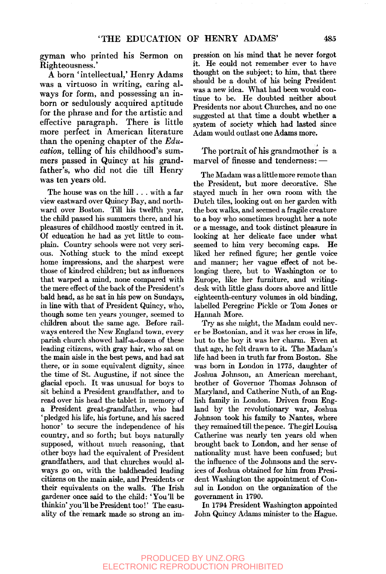gyman who printed his Sermon on Righteousness.'

A born 'intellectual,' Henry Adams was a virtuoso in writing, caring always for form, and possessing an inborn or sedulously acquired aptitude for the phrase and for the artistic and effective paragraph. There is little more perfect in American literature than the opening chapter of the *Education,* telling of his childhood's summers passed in Quincy at his grandfather's, who did not die till Henry was ten years old.

The house was on the hill . . . with a far view eastward over Quincy Bay, and northward over Boston. Till his twelfth year, the child passed his summers there, and his pleasures of childhood mostly centred in it. Of education he had as yet little to complain. Country schools were not very serious. Nothing stuck to the mind except home impressions, and the sharpest were those of kindred children; but as influences that warped a mind, none compared with the mere effect of the back of the President's bald head, as he sat in his pew on Sundays, in line with that of President Quincy, who, though some ten years younger, seemed to children about the same age. Before railways entered the New England town, every parish church showed half-a-dozen of these leading citizens, with gray hair, who sat on the main aisle in the best pews, and had sat there, or in some equivalent dignity, since the time of St. Augustine, if not since the glacial epoch. It was unusual for boys to sit behind a President grandfather, and to read over his head the tablet in memory of a President great-grandfather, who had ' pledged his life, his fortune, and his sacred honor' to secure the independence of his country, and so forth; but boys naturally supposed, without much reasoning, that other boys had the equivalent of President grandfathers, and that churches would always go on, with the baldheaded leading citizens on the main aisle, and Presidents or their equivalents on the walls. The Irish gardener once said to the child: 'You'll be thinkin' you '11 be President too!' The casuality of the remark made so strong an im-

pression on his mind that he never forgot it. He could not remember ever to have thought on the subject; to him, that there should be a doubt of his being President was a new idea. What had been would continue to be. He doubted neither about Presidents nor about Churches, and no one suggested at that time a doubt whether a system of society which had lasted since Adam would outlast one Adams more.

The portrait of his grandmother is a marvel of finesse and tenderness: —

The Madam was a little more remote than the President, but more decorative. She stayed much in her own room with the Dutch tiles, looking out on her garden with the box walks, and seemed a fragile creature to a boy who sometimes brought her a note or a message, and took distinct pleasure in looking at her delicate face under what seemed to him very becoming caps. He liked her refined figure; her gentle voice and manner; her vague effect of not belonging there, but to Washington or to Europe, like her furniture, and writingdesk with little glass doors above and little eighteenth-century volumes in old binding, labelled Peregrine Pickle or Tom Jones or Hannah More.

Try as she might, the Madam could never be Bostonian, and it was her cross in life, but to the boy it was her charm. Even at that age, he felt drawn to it. The Madam's life had been in truth far from Boston. She was born in London in 1775, daughter of Joshua Johnson, an American merchant, brother of Governor Thomas Johnson of Maryland, and Catherine Nuth, of an English family in London. Driven from England by the revolutionary war, Joshua Johnson took his family to Nantes, where they remained till the peace. The girl Louisa Catherine was nearly ten years old when brought back to London, and her sense of nationality must have been confused; but the influence of the Johnsons and the services of Joshua obtained for him from President Washington the appointment of Consul in London on the organization of the government in 1790.

In 1794 President Washington appointed John Quincy Adams minister to the Hague.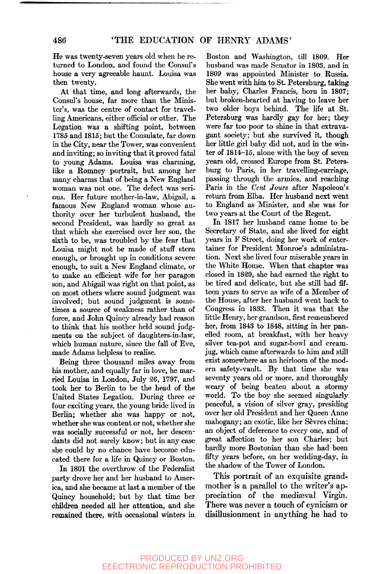He was twenty-seven years old when he returned to London, and found the Consul's house a very agreeable haunt. Louisa was then twenty.

At that time, and long afterwards, the Consul's house, far more than the Minister's, was the centre of contact for travelling Americans, either official or other. The Legation was a shifting point, between 1785 and 1815; but the Consulate, far down in the City, near the Tower, was convenient and inviting; so inviting that it proved fatal to young Adams. Louisa was charming, like a Ronmey portrait, but among her many charms that of being a New England woman was not one. The defect was serious. Her future mother-in-law, Abigail, a famous New England woman whose authority over her turbulent husband, the second President, was hardly so great as that which she exercised over her son, the sixth to be, was troubled by the fear that Louisa might not be made of stuff stern enough, or brought up in conditions severe enough, to suit a New England climate, or to make an efficient wife for her paragon son, and Abigail was right on that point, as on most others where sound judgment was involved; but sound judgment is sometimes a source of weakness rather than of force, and John Quincy already had reason to think that his mother held sound judgments on the subject of daughters-in-law, which human nature, since the fall of Eve, made Adams helpless to realise.

Being three thousand miles away from his mother, and equally far in love, he married Louisa in London, July 26, 1797, and took her to Berlin to be the head of the United States Legation. During three or four exciting years, the young bride lived in Berlin; whether she was happy or not, whether she was content or not, whether she was socially successful or not, her descendants did not surely know; but in any case she could by no chance have become educated there for a life in Quincy or Boston.

In 1801 the overthrow of the Federalist party drove her and her husband to America, and she became at last a member of the Quincy household; but by that time her children needed all her attention, and she remained there, with occasional winters in

Boston and Washington, till 1809. Her husband was made Senator in 1803, and in 1809 was appointed Minister to Russia. She went with him to St. Petersburg, taking her baby, Charles Francis, born in 1807; but broken-hearted at having to leave her two older boys behind. The life at St. Petersburg was hardly gay for her; they were far too poor to shine in that extravagant society; but she survived it, though her little girl baby did not, and in the winter of 1814-15, alone with the boy of seven years old, crossed Europe from St. Petersburg to Paris, in her travelling-carriage, passing through the armies, and reaching Paris in the *Cent Jours* after Napoleon's return from Elba. Her husband next went to England as Minister, and she was for two years at the Court of the Regent.

In 1817 her husband came home to be Secretary of State, and she lived for eight years in F Street, doing her work of entertainer for President Monroe's administration. Next she lived four miserable years in the White House. When that chapter was closed in 1829, she had earned the right to be tired and delicate, but she still had fifteen years to serve as wife of a Member of the House, after her husband went back to Congress in 1833. Then it was that the little Henry, her grandson, first remembered her, from 1843 to 1848, sitting in her panelled room, at breakfast, with her heavy silver tea-pot and sugar-bowl and creamjug, which came afterwards to him and still exist somewhere as an heirloom of the modern safety-vault. By that time she was seventy years old or more, and thoroughly weary of being beaten about a stormy world. To the boy she seemed singularly peaceful, a vision of silver gray, presiding over her old President and her Queen Anne mahogany; an exotic, like her Sevres china; an object of deference to every one, and of great affection to her son Charles; but hardly more Bostonian than she had been fifty years before, on her wedding-day, in the shadow of the Tower of London.

This portrait of an exquisite grandmother is a parallel to the writer's appreciation of the medieval Virgin. There was never a touch of cynicism or disillusionment in anything he had to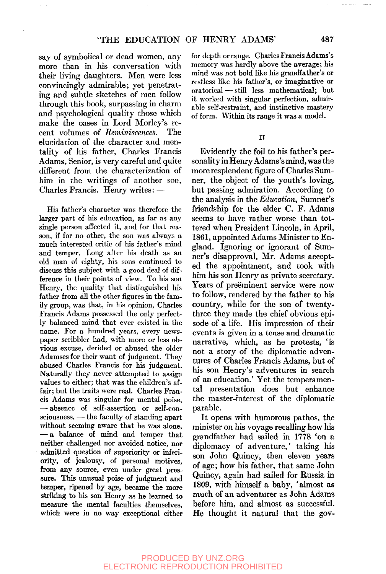say of symbolical or dead women, any more than in his conversation with their living daughters. Men were less convincingly admirable; yet penetrating and subtle sketches of men follow through this book, surpassing in charm and psychological quality those which make the oases in Lord Morley's recent volumes of *Reminiscences.* The elucidation of the character and mentality of his father, Charles Francis Adams, Senior, is very careful and quite different from the characterization of him in the writings of another son, Charles Francis. Henry writes: —

His father's character was therefore the larger part of his education, as far as any single person affected it, and for that reason, if for no other, the son was always a much interested critic of his father's mind and temper. Long after his death as an old man of eighty, his sons continued to discuss this subject with a good deal of difference in their points of view. To his son Henry, the quality that distinguished his father from all the other figures in the family group, was that, in his opinion, Charles Francis Adams possessed the only perfectly balanced mind that ever existed in the name. For a hundred years, every newspaper scribbler had, with more or less obvious excuse, derided or abused the older Adamses for their want of judgment. They abused Charles Francis for his judgment. Naturally they never attempted to assign values to either; that was the children's affair; but the traits were real. Charles Francis Adams was singular for mental poise, — absence of self-assertion or self-consciousness, — the faculty of standing apart without seeming aware that he was alone, — a balance of mind and temper that neither challenged nor avoided notice, nor admitted question of superiority or inferiority, of jealousy, of personal motives, from any source, even under great pressure. This unusual poise of judgment and temper, ripened by age, became the more striking to his son Henry as he learned to measure the mental faculties themselves, which were in no way exceptional either for depth orrange. Charles Francis Adams's memory was hardly above the average; his mind was not bold like his grandfather's or restless like his father's, or imaginative or oratorical — still less mathematical; but it worked with singular perfection, admirable self-restraint, and instinctive mastery of form. Within its range it was a model.

**II** 

Evidently the foil to his father's personality in Henry Adams's mind, was the more resplendent figure of Charles Sumner, the object of the youth's loving, but passing admiration. According to the analysis in the *Education,* Sumner's friendship for the elder C. F. Adams seems to have rather worse than tottered when President Lincoln, in April, 1861, appointed Adams Minister to England. Ignoring or ignorant of Sumner's disapproval, Mr. Adams accepted the appointment, and took with him his son Henry as private secretary. Years of preëminent service were now to follow, rendered by the father to his country, while for the son of twentythree they made the chief obvious episode of a life. His impression of their events is given in a tense and dramatic narrative, which, as he protests, 'is not a story of the diplomatic adventures of Charles Francis Adams, but of his son Henry's adventures in search of an education.' Yet the temperamental presentation does but enhance the master-interest of the diplomatic parable.

It opens with humorous pathos, the minister on his voyage recalling how his grandfather had sailed in 1778 'on a diplomacy of adventure,' taking his son John Quincy, then eleven years of age; how his father, that same John Quincy, again had sailed for Russia in 1809, with himself a baby, 'almost as much of an adventurer as John Adams before him, and almost as successful. He thought it natural that the gov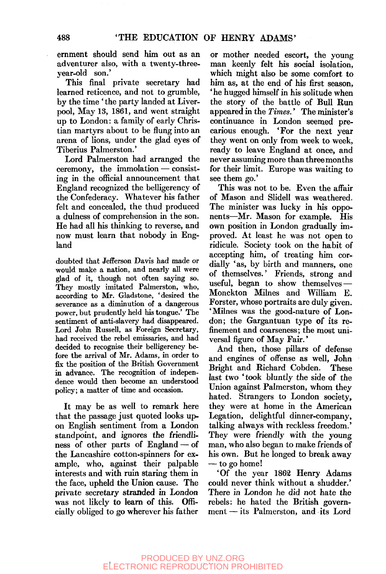ernment should send him out as an adventurer also, with a twenty-threeyear-old son.'

This final private secretary had learned reticence, and not to grumble, by the time ' the party landed at Liverpool, May 13, 1861, and went straight up to London: a family of early Christian martyrs about to be flung into an arena of lions, under the glad eyes of Tiberius Palmerston.'

Lord Palmerston had arranged the ceremony, the immolation — consisting in the official announcement that England recognized the belligerency of the Confederacy. Whatever his father felt and concealed, the thud produced a dulness of comprehension in the son. He had all his thinking to reverse, and now must learn that nobody in England

doubted that Jefferson Davis had made or would make a nation, and nearly all were glad of it, though not often saying so. They mostly imitated Palmerston, who, according to Mr. Gladstone, 'desired the severance as a diminution of a dangerous power, but prudently held his tongue.' The sentiment of anti-slavery had disappeared. Lord John Russell, as Foreign Secretary, had received the rebel emissaries, and had decided to recognise their belligerency before the arrival of Mr. Adams, in order to fix the position of the British Government in advance. The recognition of independence would then become an understood policy; a matter of time and occasion.

It may be as well to remark here that the passage just quoted looks upon English sentiment from a London standpoint, and ignores the friendliness of other parts of England — of the Lancashire cotton-spinners for example, who, against their palpable interests and with ruin staring them in the face, upheld the Union cause. The private secretary stranded in London was not likely to learn of this. Officially obliged to go wherever his father

or mother needed escort, the young man keenly felt his social isolation, which might also be some comfort to him as, at the end of his first season, 'he hugged himself in his solitude when the story of the battle of Bull Run appeared in the *Times.*' The minister's continuance in London seemed precarious enough. 'For the next year they went on only from week to week, ready to leave England at once, and never assuming more than three months for their limit. Europe was waiting to see them go.'

This was not to be. Even the affair of Mason and Slidell was weathered. The minister was lucky in his opponents—^Mr. Mason for example. His own position in London gradually improved. At least he was not open to ridicule. Society took on the habit of accepting him, of treating him cordially 'as, by birth and manners, one of themselves.' Friends, strong and useful, began to show themselves — Monckton Mihies and William E. Forster, whose portraits are duly given. 'Milnes was the good-nature of London; the Gargantuan type of its refinement and coarseness; the most universal figure of May Fair.'

And then, those pillars of defense and engines of offense as well, John Bright and Richard Cobden. last two 'took bluntly the side of the Union against Palmerston, whom they hated. Strangers to London society, they were at home in the American Legation, delightful dinner-company, talking always with reckless freedom.' They were friendly with the young man, who also began to make friends of his own. But he longed to break away — to go home!

'Of the year 1862 Henry Adams could never think without a shudder.' There in London he did not hate the rebels: he hated the British government — its Palmerston, and its Lord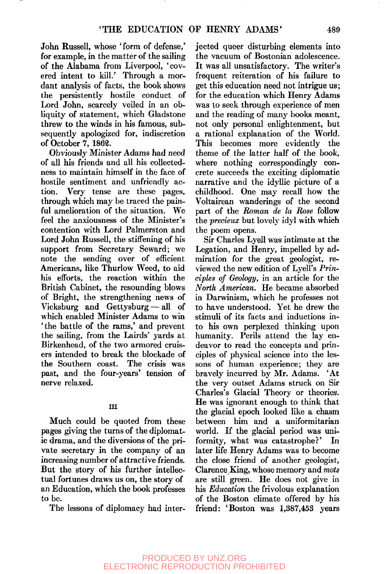John Russell, whose 'form of defense,' for example, in the matter of the sailing of the Alabama from Liverpool, 'covered intent to kill.' Through a mordant analysis of facts, the book shows the persistently hostile conduct of Lord John, scarcely veiled in an obliquity of statement, which Gladstone threw to the winds in his famous, subsequently apologized for, indiscretion of October 7, 1862.

Obviously Minister Adams had need of all his friends and all his collectedness to maintain himself in the face of hostile sentiment and unfriendly action. Very tense are these pages, through which may be traced the painful amelioration of the situation. We feel the anxiousness of the Minister's contention with Lord Palmerston and Lord John Russell, the stiffening of his support from Secretary Seward; we note the sending over of efficient Americans, like Thurlow Weed, to aid his efforts, the reaction within the British Cabinet, the resounding blows of Bright, the strengthening news of Vicksburg and Gettysburg — all of which enabled Minister Adams to win 'the battle of the rams,' and prevent the sailing, from the Lairds' yards at Birkenhead, of the two armored cruisers intended to break the blockade of the Southern coast. The crisis was past, and the four-years' tension of nerve relaxed.

### **Ill**

Much could be quoted from these pages giving the turns of the diplomatic drama, and the diversions of the private secretary in the company of an increasing number of attractive friends. But the story of his further intellectual fortunes draws us on, the story of an Education, which the book professes to be.

The lessons of diplomacy had inter-

jected queer disturbing elements into the vacuum of Bostonian adolescence. It was all unsatisfactory. The writer's frequent reiteration of his failure to get this education need not intrigue us; for the education which Henry Adams was to seek through experience of men and the reading of many books meant, not only personal enlightenment, but a rational explanation of the World. This becomes more evidently the theme of the latter half of the book, where nothing correspondingly concrete succeeds the exciting diplomatic narrative and the idyllic picture of a childhood. One may recall how the Voltairean wanderings of the second part of the *Roman de la Rose* follow the *precieux* but lovely idyl with which the poem opens.

Sir Charles Lyell was intimate at the Legation, and Henry, impelled by admiration for the great geologist, reviewed the new edition of Lyell's *Principles of Geology,* in an article for the *North American.* He became absorbed in Darwinism, which he professes not to have understood. Yet he drew the stimuli of its facts and inductions into his own perplexed thinking upon humanity. Perils attend the lay endeavor to read the concepts and principles of physical science into the lessons of human experience; they are bravely incurred by Mr. Adams. 'At the very outset Adams struck on Sir Charles's Glacial Theory or theories. He was ignorant enough to think that the glacial epoch looked like a chasm between him and a uniformitarian world. If the glacial period was uniformity, what was catastrophe?' In later life Henry Adams was to become the close friend of another geologist, Clarence King, whose memory and *mots*  are still green. He does not give in his *Education* the frivolous explanation of the Boston climate offered by his friend: 'Boston was 1,387,453 years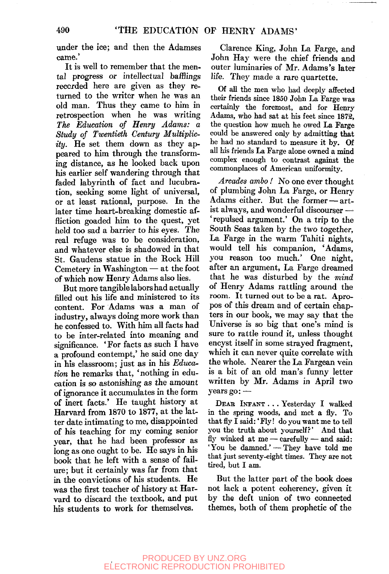under the ice; and then the Adamses came.'

It is well to remember that the mental progress or intellectual bafflings recorded here are given as they returned to the writer when he was an old man. Thus they came to him in retrospection when he was writing *The Education of Henry Adams: a Study of Twentieth Century Multiplicity.* He set them down as they appeared to him through the transforming distance, as he looked back upon his earlier self wandering through that faded labyrinth of fact and lucubration, seeking some light of universal, or at least rational, purpose. In the later time heart-breaking domestic affliction goaded him to the quest, yet held too sad a barrier to his eyes. The real refuge was to be consideration, and whatever else is shadowed in that St. Gaudens statue in the Rock Hill Cemetery in Washington — at the foot of which now Henry Adams also lies.

But more tangible labors had actually filled out his life and ministered to its content. For Adams was a man of industry, always doing more work than he confessed to. With him all facts had to be inter-related into meaning and significance. 'For facts as such I have a profound contempt,' he said one day in his classroom; just as in his *Educatim* he remarks that, 'nothing in education is so astonishing as the amount of ignorance it accumulates in the form of inert facts.' He taught history at Harvard from 1870 to 1877, at the latter date intimating to me, disappointed of his teaching for my coming senior year, that he had been professor as long as one ought to be. He says in his book that he left with a sense of failure; but it certainly was far from that in the convictions of his students. He was the first teacher of history at Harvard to discard the textbook, and put his students to work for themselves.

Clarence King, John La Farge, and John Hay were the chief friends and outer luminaries of Mr. Adams's later life. They made a rare quartette.

Of all the men who had deeply afifected their friends since 1850 John La Farge was certainly the foremost, and for Henry Adams, who had sat at his feet since 1872, the question how much he owed La Farge could be answered only by admitting that he had no standard to measure it by. Of all his friends La Farge alone owned a mind complex enough to contrast against the commonplaces of American uniformity.

*Arcades ambo!* No one ever thought of plumbing John La Farge, or Henry Adams either. But the former — artist always, and wonderful discourser — 'repulsed argument.' On a trip to the South Seas taken by the two together. La Farge in the warm Tahiti nights, would tell his companion, 'Adams, you reason too much.' One night, after an argument, La Farge dreamed that he was disturbed by the *mind*  of Henry Adams rattling around the room. It turned out to be a rat. Apropos of this dream and of certain chapters in our book, we may say that the Universe is so big that one's mind is sure to rattle round it, unless thought encyst itself in some strayed fragment, which it can never quite correlate with the whole. Nearer the La Fargean vein is a bit of an old man's funny letter written by Mr. Adams in April two years go: —

DEAE INFANT . . . Yesterday I walked in the spring woods, and met a fly. To that fly I said:' Fly! do you want me to tell you the truth about yourself?' And that fly winked at me - carefully - and said: 'You be damned.' — They have told me that just seventy-eight times. They are not tired, but I am.

But the latter part of the book does not lack a potent coherency, given it by the deft union of two connected themes, both of them prophetic of the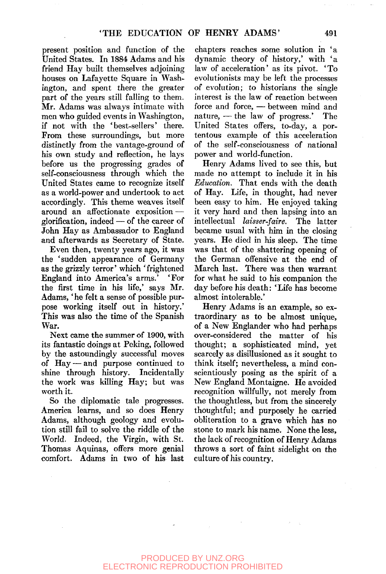present position and function of the United States. In 1884 Adams and his friend Hay built themselves adjoining houses on Lafayette Square in Washington, and spent there the greater part of the years still falling to them. Mr. Adams was always intimate with men who guided events in Washington, if not with the 'best-sellers' there. From these surroundings, but more distinctly from the vantage-ground of his own study and reflection, he lays before us the progressing grades of self-consciousness through which the United States came to recognize itself as a world-power and undertook to act accordingly. This theme weaves itself around an affectionate exposition glorification, indeed — of the career of John Hay as Ambassador to England and afterwards as Secretary of State.

Even then, twenty years ago, it was the 'sudden appearance of Germany as the grizzly terror' which 'frightened<br>England into America's arms.' 'For England into America's arms.' the first time in his life,' says Mr. Adams, 'he felt a sense of possible purpose working itself out in history.' This was also the time of the Spanish War.

Next came the summer of 1900, with its fantastic doings at Peking, followed by the astoundingly successful moves of Hay — and purpose continued to shine through history. Incidentally the work was killing Hay; but was worth it.

So the diplomatic tale progresses. America learns, and so does Henry Adams, although geology and evolution still fail to solve the riddle of the World. Indeed, the Virgin, with St. Thomas Aquinas, offers more genial comfort. Adams in two of his last

chapters reaches some solution in 'a dynamic theory of history,' with 'a law of acceleration' as its pivot. 'To evolutionists may be left the processes of evolution; to historians the single interest is the law of reaction between force and force, — between mind and nature, — the law of progress.' The United States offers, to-day, a portentous example of this acceleration of the self-consciousness of national power and world-function.

Henry Adams lived to see this, but made no attempt to include it in his *Education.* That ends with the death of Hay. Life, in thought, had never been easy to him. He enjoyed taking it very hard and then lapsing into an intellectual *laisser-faire.* The latter became usual with him in the closing years. He died in his sleep. The time was that of the shattering opening of the German offensive at the end of March last. There was then warrant for what he said to his companion the day before his death: 'Life has become almost intolerable.'

Henry Adams is an example, so extraordinary as to be almost unique, of a New Englander who had perhaps over-considered the matter of his thought; a sophisticated mind, yet scarcely as disillusioned as it sought to think itself; nevertheless, a mind conscientiously posing as the spirit of a New England Montaigne. He avoided recognition willfully, not merely from the thoughtless, but from the sincerely thoughtful; and purposely he carried obliteration to a grave which has no stone to mark his name. None the less, the lack of recognition of Henry Adams throws a sort of faint sidelight on the culture of his country.